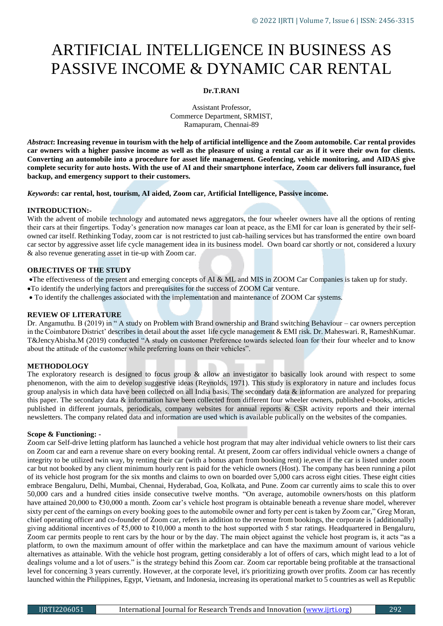# ARTIFICIAL INTELLIGENCE IN BUSINESS AS PASSIVE INCOME & DYNAMIC CAR RENTAL

# **Dr.T.RANI**

Assistant Professor, Commerce Department, SRMIST, Ramapuram, Chennai-89

*Abstract***: Increasing revenue in tourism with the help of artificial intelligence and the Zoom automobile. Car rental provides car owners with a higher passive income as well as the pleasure of using a rental car as if it were their own for clients. Converting an automobile into a procedure for asset life management. Geofencing, vehicle monitoring, and AIDAS give complete security for auto hosts. With the use of AI and their smartphone interface, Zoom car delivers full insurance, fuel backup, and emergency support to their customers.**

#### *Keywords***: car rental, host, tourism, AI aided, Zoom car, Artificial Intelligence, Passive income.**

#### **INTRODUCTION:-**

With the advent of mobile technology and automated news aggregators, the four wheeler owners have all the options of renting their cars at their fingertips. Today's generation now manages car loan at peace, as the EMI for car loan is generated by their selfowned car itself. Rethinking Today, zoom car is not restricted to just cab-hailing services but has transformed the entire own board car sector by aggressive asset life cycle management idea in its business model. Own board car shortly or not, considered a luxury & also revenue generating asset in tie-up with Zoom car.

### **OBJECTIVES OF THE STUDY**

The effectiveness of the present and emerging concepts of AI & ML and MIS in ZOOM Car Companies is taken up for study.

- To identify the underlying factors and prerequisites for the success of ZOOM Car venture.
- To identify the challenges associated with the implementation and maintenance of ZOOM Car systems.

#### **REVIEW OF LITERATURE**

Dr. Angamuthu. B (2019) in " A study on Problem with Brand ownership and Brand switching Behaviour – car owners perception in the Coimbatore District' describes in detail about the asset life cycle management & EMI risk. Dr. Maheswari. R, RameshKumar. T&JencyAbisha.M (2019) conducted "A study on customer Preference towards selected loan for their four wheeler and to know about the attitude of the customer while preferring loans on their vehicles".

# **METHODOLOGY**

The exploratory research is designed to focus group & allow an investigator to basically look around with respect to some phenomenon, with the aim to develop suggestive ideas (Reynolds, 1971). This study is exploratory in nature and includes focus group analysis in which data have been collected on all India basis. The secondary data & information are analyzed for preparing this paper. The secondary data & information have been collected from different four wheeler owners, published e-books, articles published in different journals, periodicals, company websites for annual reports & CSR activity reports and their internal newsletters. The company related data and information are used which is available publically on the websites of the companies.

# **Scope & Functioning: -**

Zoom car Self-drive letting platform has launched a vehicle host program that may alter individual vehicle owners to list their cars on Zoom car and earn a revenue share on every booking rental. At present, Zoom car offers individual vehicle owners a change of integrity to be utilized twin way, by renting their car (with a bonus apart from booking rent) ie,even if the car is listed under zoom car but not booked by any client minimum hourly rent is paid for the vehicle owners (Host). The company has been running a pilot of its vehicle host program for the six months and claims to own on boarded over 5,000 cars across eight cities. These eight cities embrace Bengaluru, Delhi, Mumbai, Chennai, Hyderabad, Goa, Kolkata, and Pune. Zoom car currently aims to scale this to over 50,000 cars and a hundred cities inside consecutive twelve months. "On average, automobile owners/hosts on this platform have attained 20,000 to ₹30,000 a month. Zoom car's vehicle host program is obtainable beneath a revenue share model, wherever sixty per cent of the earnings on every booking goes to the automobile owner and forty per cent is taken by Zoom car," Greg Moran, chief operating officer and co-founder of Zoom car, refers in addition to the revenue from bookings, the corporate is {additionally} giving additional incentives of ₹5,000 to ₹10,000 a month to the host supported with 5 star ratings. Headquartered in Bengaluru, Zoom car permits people to rent cars by the hour or by the day. The main object against the vehicle host program is, it acts "as a platform, to own the maximum amount of offer within the marketplace and can have the maximum amount of various vehicle alternatives as attainable. With the vehicle host program, getting considerably a lot of offers of cars, which might lead to a lot of dealings volume and a lot of users." is the strategy behind this Zoom car. Zoom car reportable being profitable at the transactional level for concerning 3 years currently. However, at the corporate level, it's prioritizing growth over profits. Zoom car has recently launched within the Philippines, Egypt, Vietnam, and Indonesia, increasing its operational market to 5 countries as well as Republic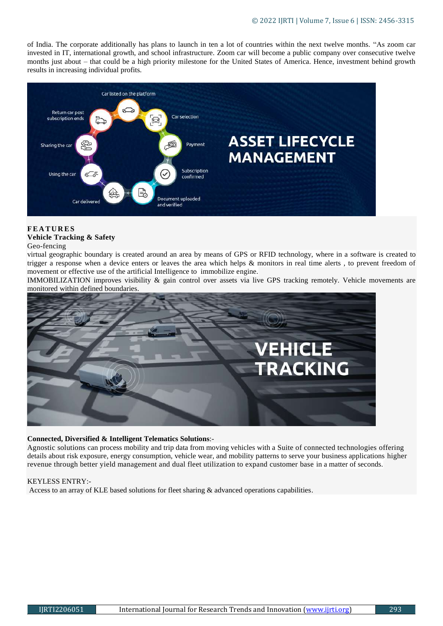of India. The corporate additionally has plans to launch in ten a lot of countries within the next twelve months. "As zoom car invested in IT, international growth, and school infrastructure. Zoom car will become a public company over consecutive twelve months just about – that could be a high priority milestone for the United States of America. Hence, investment behind growth results in increasing individual profits.



# **F E A T U R E S Vehicle Tracking & Safety**

#### Geo-fencing

virtual geographic boundary is created around an area by means of GPS or RFID technology, where in a software is created to trigger a response when a device enters or leaves the area which helps & monitors in real time alerts , to prevent freedom of movement or effective use of the artificial Intelligence to immobilize engine.

IMMOBILIZATION improves visibility & gain control over assets via live GPS tracking remotely. Vehicle movements are monitored within defined boundaries.



# **Connected, Diversified & Intelligent Telematics Solutions**:-

Agnostic solutions can process mobility and trip data from moving vehicles with a Suite of connected technologies offering details about risk exposure, energy consumption, vehicle wear, and mobility patterns to serve your business applications higher revenue through better yield management and dual fleet utilization to expand customer base in a matter of seconds.

# KEYLESS ENTRY:-

Access to an array of KLE based solutions for fleet sharing & advanced operations capabilities.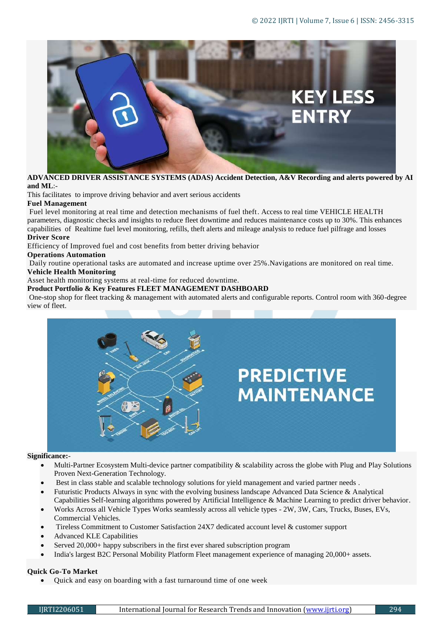

**ADVANCED DRIVER ASSISTANCE SYSTEMS (ADAS) Accident Detection, A&V Recording and alerts powered by AI and ML**:-

This facilitates to improve driving behavior and avert serious accidents

# **Fuel Management**

Fuel level monitoring at real time and detection mechanisms of fuel theft. Access to real time VEHICLE HEALTH parameters, diagnostic checks and insights to reduce fleet downtime and reduces maintenance costs up to 30%. This enhances capabilities of Realtime fuel level monitoring, refills, theft alerts and mileage analysis to reduce fuel pilfrage and losses **Driver Score**

Efficiency of Improved fuel and cost benefits from better driving behavior

#### **Operations Automation**

Daily routine operational tasks are automated and increase uptime over 25%.Navigations are monitored on real time.

# **Vehicle Health Monitoring**

Asset health monitoring systems at real-time for reduced downtime.

#### **Product Portfolio & Key Features FLEET MANAGEMENT DASHBOARD**

One-stop shop for fleet tracking & management with automated alerts and configurable reports. Control room with 360-degree view of fleet.



#### **Significance:**-

- Multi-Partner Ecosystem Multi-device partner compatibility & scalability across the globe with Plug and Play Solutions Proven Next-Generation Technology.
- Best in class stable and scalable technology solutions for yield management and varied partner needs .
- Futuristic Products Always in sync with the evolving business landscape Advanced Data Science & Analytical Capabilities Self-learning algorithms powered by Artificial Intelligence & Machine Learning to predict driver behavior.
- Works Across all Vehicle Types Works seamlessly across all vehicle types 2W, 3W, Cars, Trucks, Buses, EVs, Commercial Vehicles.
- Tireless Commitment to Customer Satisfaction 24X7 dedicated account level & customer support
- Advanced KLE Capabilities
- Served 20,000+ happy subscribers in the first ever shared subscription program
- India's largest B2C Personal Mobility Platform Fleet management experience of managing 20,000+ assets.

# **Quick Go-To Market**

Quick and easy on boarding with a fast turnaround time of one week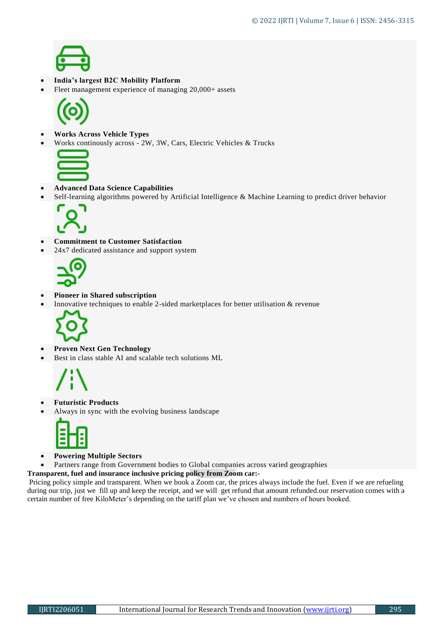

# **India's largest B2C Mobility Platform**

Fleet management experience of managing 20,000+ assets



- **Works Across Vehicle Types**
- Works continously across 2W, 3W, Cars, Electric Vehicles & Trucks



- **Advanced Data Science Capabilities**
- Self-learning algorithms powered by Artificial Intelligence & Machine Learning to predict driver behavior



# **Commitment to Customer Satisfaction**

• 24x7 dedicated assistance and support system



#### **Pioneer in Shared subscription**

Innovative techniques to enable 2-sided marketplaces for better utilisation & revenue



# **Proven Next Gen Technology**

Best in class stable AI and scalable tech solutions ML



# **Futuristic Products**

Always in sync with the evolving business landscape



- **Powering Multiple Sectors**
- Partners range from Government bodies to Global companies across varied geographies
- **Transparent, fuel and insurance inclusive pricing policy from Zoom car:-**

Pricing policy simple and transparent. When we book a Zoom car, the prices always include the fuel. Even if we are refueling during our trip, just we fill up and keep the receipt, and we will get refund that amount refunded.our reservation comes with a certain number of free KiloMeter's depending on the tariff plan we've chosen and numbers of hours booked.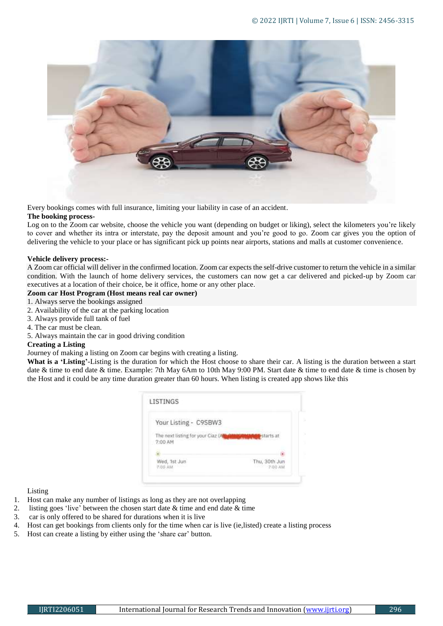

Every bookings comes with full insurance, limiting your liability in case of an accident.

#### **The booking process-**

Log on to the Zoom car website, choose the vehicle you want (depending on budget or liking), select the kilometers you're likely to cover and whether its intra or interstate, pay the deposit amount and you're good to go. Zoom car gives you the option of delivering the vehicle to your place or has significant pick up points near airports, stations and malls at customer convenience.

#### **Vehicle delivery process:-**

A Zoom car official will deliver in the confirmed location. Zoom car expects the self-drive customer to return the vehicle in a similar condition. With the launch of home delivery services, the customers can now get a car delivered and picked-up by Zoom car executives at a location of their choice, be it office, home or any other place.

#### **Zoom car Host Program (Host means real car owner)**

- 1. Always serve the bookings assigned
- 2. Availability of the car at the parking location
- 3. Always provide full tank of fuel
- 4. The car must be clean.
- 5. Always maintain the car in good driving condition

#### **Creating a Listing**

### Journey of making a listing on Zoom car begins with creating a listing.

**What is a 'Listing'**-Listing is the duration for which the Host choose to share their car. A listing is the duration between a start date & time to end date & time. Example: 7th May 6Am to 10th May 9:00 PM. Start date & time to end date & time is chosen by the Host and it could be any time duration greater than 60 hours. When listing is created app shows like this

| Your Listing - C9SBW3                        |               |
|----------------------------------------------|---------------|
| The next listing for your Ciaz (A<br>7:00 AM | starts at     |
|                                              |               |
| Wed, 1st Jun                                 | Thu, 30th Jun |

Listing

- 1. Host can make any number of listings as long as they are not overlapping
- 2. listing goes 'live' between the chosen start date & time and end date & time
- 3. car is only offered to be shared for durations when it is live
- 4. Host can get bookings from clients only for the time when car is live (ie,listed) create a listing process
- 5. Host can create a listing by either using the 'share car' button.